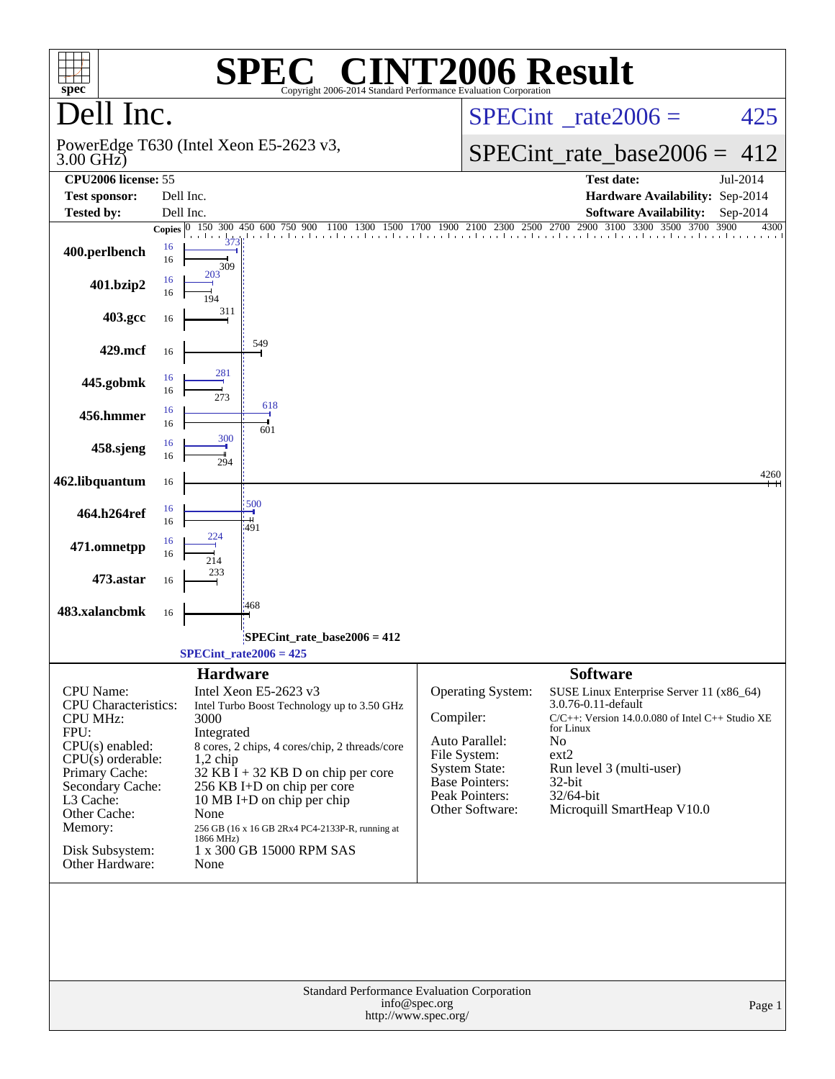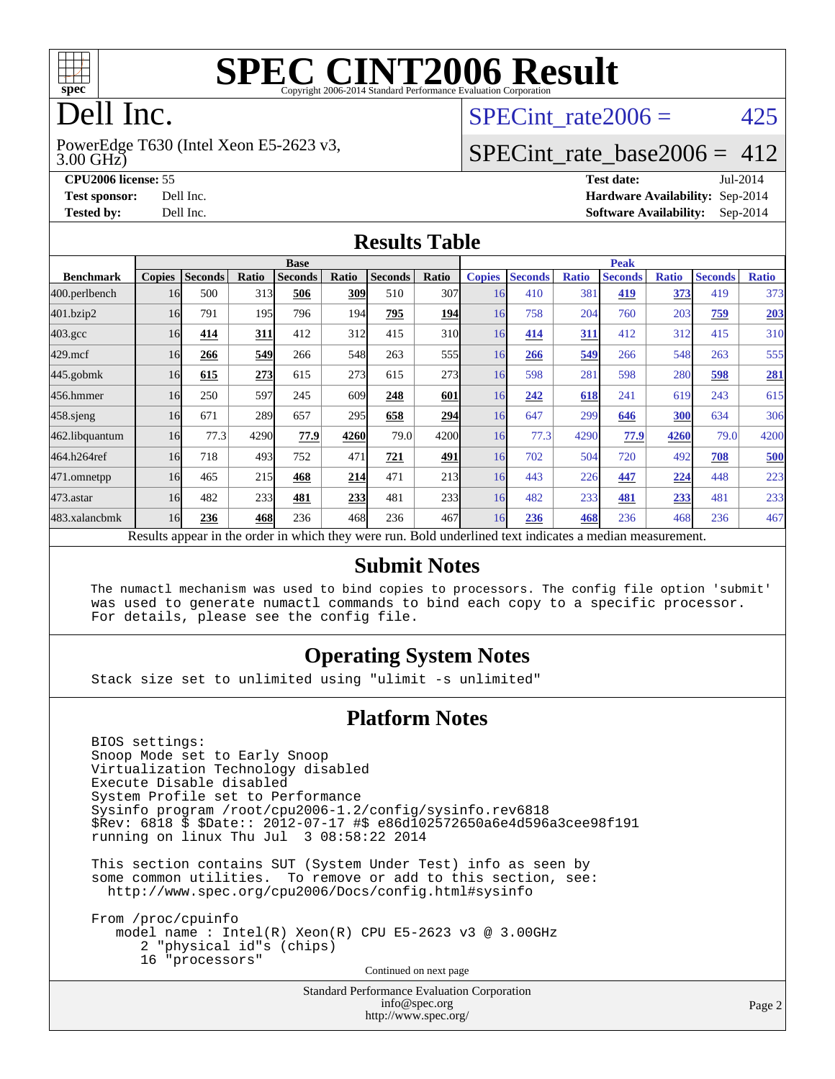

# **[SPEC CINT2006 Result](http://www.spec.org/auto/cpu2006/Docs/result-fields.html#SPECCINT2006Result)**

# Dell Inc.

3.00 GHz) PowerEdge T630 (Intel Xeon E5-2623 v3, SPECint rate $2006 = 425$ 

#### [SPECint\\_rate\\_base2006 =](http://www.spec.org/auto/cpu2006/Docs/result-fields.html#SPECintratebase2006) 412

**[CPU2006 license:](http://www.spec.org/auto/cpu2006/Docs/result-fields.html#CPU2006license)** 55 **[Test date:](http://www.spec.org/auto/cpu2006/Docs/result-fields.html#Testdate)** Jul-2014 **[Test sponsor:](http://www.spec.org/auto/cpu2006/Docs/result-fields.html#Testsponsor)** Dell Inc. **[Hardware Availability:](http://www.spec.org/auto/cpu2006/Docs/result-fields.html#HardwareAvailability)** Sep-2014 **[Tested by:](http://www.spec.org/auto/cpu2006/Docs/result-fields.html#Testedby)** Dell Inc. **[Software Availability:](http://www.spec.org/auto/cpu2006/Docs/result-fields.html#SoftwareAvailability)** Sep-2014

#### **[Results Table](http://www.spec.org/auto/cpu2006/Docs/result-fields.html#ResultsTable)**

|                    | <b>Base</b>   |                |       |                                                                                                          |       |                |                 | <b>Peak</b>   |                |              |                |              |                |              |
|--------------------|---------------|----------------|-------|----------------------------------------------------------------------------------------------------------|-------|----------------|-----------------|---------------|----------------|--------------|----------------|--------------|----------------|--------------|
| <b>Benchmark</b>   | <b>Copies</b> | <b>Seconds</b> | Ratio | <b>Seconds</b>                                                                                           | Ratio | <b>Seconds</b> | Ratio           | <b>Copies</b> | <b>Seconds</b> | <b>Ratio</b> | <b>Seconds</b> | <b>Ratio</b> | <b>Seconds</b> | <b>Ratio</b> |
| $ 400$ .perlbench  | 16            | 500            | 313   | 506                                                                                                      | 309   | 510            | 307             | 16            | 410            | 381          | 419            | <u>373</u>   | 419            | 373          |
| 401.bzip2          | 16            | 791            | 195   | 796                                                                                                      | 194   | 795            | <b>194</b>      | 16            | 758            | 204          | 760            | 203          | 759            | <b>203</b>   |
| $403.\mathrm{gcc}$ | 16            | 414            | 311   | 412                                                                                                      | 312   | 415            | 31 <sub>0</sub> | 16            | 414            | 311          | 412            | 312          | 415            | 310          |
| $429$ mcf          | 16            | 266            | 549   | 266                                                                                                      | 548   | 263            | 555             | 16            | 266            | 549          | 266            | 548          | 263            | 555          |
| $445$ .gobmk       | 16            | 615            | 273   | 615                                                                                                      | 273   | 615            | 273             | 16            | 598            | 281          | 598            | 280          | 598            | 281          |
| 456.hmmer          | 16            | 250            | 597   | 245                                                                                                      | 609   | 248            | 601             | 16            | 242            | 618          | 241            | 619          | 243            | 615          |
| $458$ .sjeng       | 16            | 671            | 289   | 657                                                                                                      | 295   | 658            | 294             | 16            | 647            | 299          | 646            | 300          | 634            | 306          |
| 462.libquantum     | 16            | 77.3           | 4290  | 77.9                                                                                                     | 4260  | 79.0           | 4200            | 16            | 77.3           | 4290         | 77.9           | 4260         | 79.0           | 4200         |
| 464.h264ref        | 16            | 718            | 493   | 752                                                                                                      | 471   | 721            | 491             | 16            | 702            | 504          | 720            | 492          | 708            | 500          |
| 471.omnetpp        | 16            | 465            | 215   | 468                                                                                                      | 214   | 471            | 213             | 16            | 443            | 226          | 447            | 224          | 448            | 223          |
| $473$ . astar      | 16            | 482            | 233   | 481                                                                                                      | 233   | 481            | 233             | 16            | 482            | 233          | 481            | 233          | 481            | 233          |
| 483.xalancbmk      | 16            | 236            | 468   | 236                                                                                                      | 468   | 236            | 467             | 16            | 236            | 468          | 236            | 468          | 236            | 467          |
|                    |               |                |       | Results appear in the order in which they were run. Bold underlined text indicates a median measurement. |       |                |                 |               |                |              |                |              |                |              |

#### **[Submit Notes](http://www.spec.org/auto/cpu2006/Docs/result-fields.html#SubmitNotes)**

 The numactl mechanism was used to bind copies to processors. The config file option 'submit' was used to generate numactl commands to bind each copy to a specific processor. For details, please see the config file.

#### **[Operating System Notes](http://www.spec.org/auto/cpu2006/Docs/result-fields.html#OperatingSystemNotes)**

Stack size set to unlimited using "ulimit -s unlimited"

#### **[Platform Notes](http://www.spec.org/auto/cpu2006/Docs/result-fields.html#PlatformNotes)**

 BIOS settings: Snoop Mode set to Early Snoop Virtualization Technology disabled Execute Disable disabled System Profile set to Performance Sysinfo program /root/cpu2006-1.2/config/sysinfo.rev6818 \$Rev: 6818 \$ \$Date:: 2012-07-17 #\$ e86d102572650a6e4d596a3cee98f191 running on linux Thu Jul 3 08:58:22 2014

 This section contains SUT (System Under Test) info as seen by some common utilities. To remove or add to this section, see: <http://www.spec.org/cpu2006/Docs/config.html#sysinfo>

 From /proc/cpuinfo model name : Intel(R) Xeon(R) CPU E5-2623 v3 @ 3.00GHz 2 "physical id"s (chips) 16 "processors" Continued on next page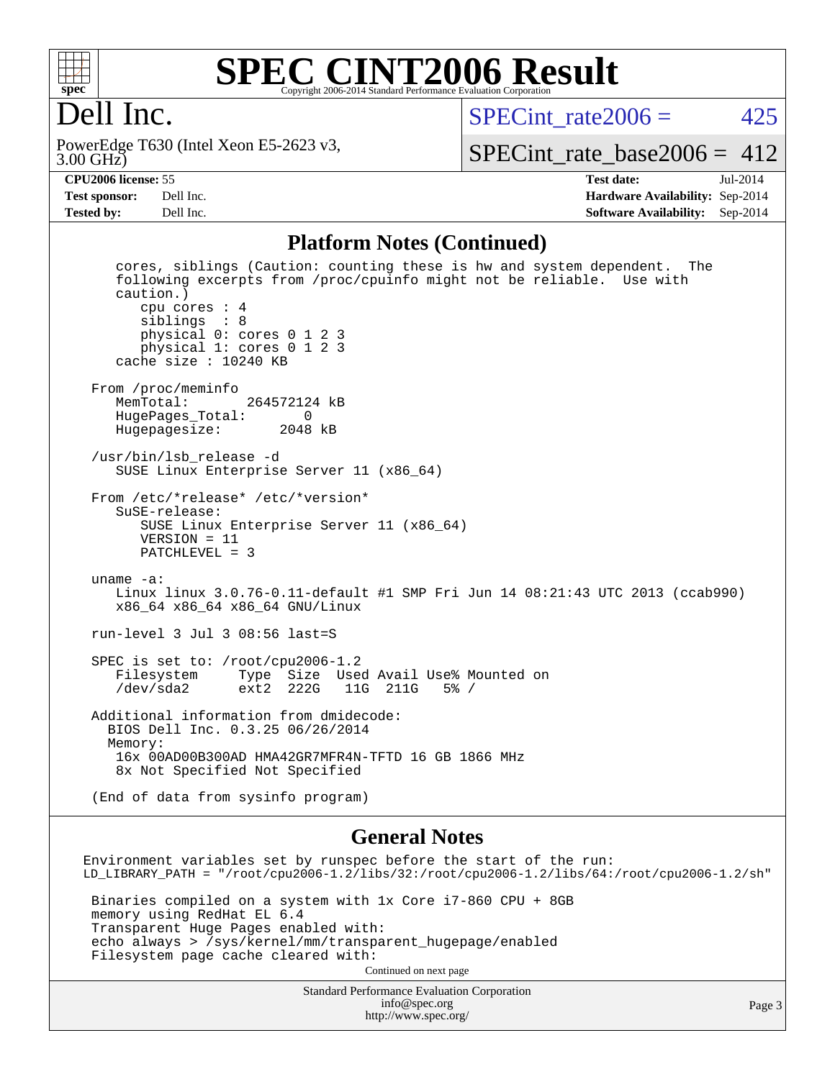

#### **[SPEC CINT2006 Result](http://www.spec.org/auto/cpu2006/Docs/result-fields.html#SPECCINT2006Result)** Copyright 2006-2014 Standard Performance Evaluation Corpora

## Dell Inc.

3.00 GHz) PowerEdge T630 (Intel Xeon E5-2623 v3, SPECint rate $2006 = 425$ 

[SPECint\\_rate\\_base2006 =](http://www.spec.org/auto/cpu2006/Docs/result-fields.html#SPECintratebase2006)  $412$ 

**[CPU2006 license:](http://www.spec.org/auto/cpu2006/Docs/result-fields.html#CPU2006license)** 55 **[Test date:](http://www.spec.org/auto/cpu2006/Docs/result-fields.html#Testdate)** Jul-2014 **[Test sponsor:](http://www.spec.org/auto/cpu2006/Docs/result-fields.html#Testsponsor)** Dell Inc. **[Hardware Availability:](http://www.spec.org/auto/cpu2006/Docs/result-fields.html#HardwareAvailability)** Sep-2014 **[Tested by:](http://www.spec.org/auto/cpu2006/Docs/result-fields.html#Testedby)** Dell Inc. **[Software Availability:](http://www.spec.org/auto/cpu2006/Docs/result-fields.html#SoftwareAvailability)** Sep-2014

#### **[Platform Notes \(Continued\)](http://www.spec.org/auto/cpu2006/Docs/result-fields.html#PlatformNotes)**

 cores, siblings (Caution: counting these is hw and system dependent. The following excerpts from /proc/cpuinfo might not be reliable. Use with caution.) cpu cores : 4 siblings : 8 physical 0: cores 0 1 2 3 physical 1: cores 0 1 2 3 cache size : 10240 KB From /proc/meminfo<br>MemTotal: 264572124 kB HugePages\_Total: 0 Hugepagesize: 2048 kB /usr/bin/lsb\_release -d SUSE Linux Enterprise Server 11 (x86\_64) From /etc/\*release\* /etc/\*version\* SuSE-release: SUSE Linux Enterprise Server 11 (x86\_64) VERSION = 11 PATCHLEVEL = 3 uname -a: Linux linux 3.0.76-0.11-default #1 SMP Fri Jun 14 08:21:43 UTC 2013 (ccab990) x86\_64 x86\_64 x86\_64 GNU/Linux run-level 3 Jul 3 08:56 last=S SPEC is set to: /root/cpu2006-1.2 Filesystem Type Size Used Avail Use% Mounted on /dev/sda2 ext2 222G 11G 211G 5% / Additional information from dmidecode: BIOS Dell Inc. 0.3.25 06/26/2014 Memory: 16x 00AD00B300AD HMA42GR7MFR4N-TFTD 16 GB 1866 MHz 8x Not Specified Not Specified (End of data from sysinfo program)

#### **[General Notes](http://www.spec.org/auto/cpu2006/Docs/result-fields.html#GeneralNotes)**

Environment variables set by runspec before the start of the run: LD\_LIBRARY\_PATH = "/root/cpu2006-1.2/libs/32:/root/cpu2006-1.2/libs/64:/root/cpu2006-1.2/sh" Binaries compiled on a system with 1x Core i7-860 CPU + 8GB memory using RedHat EL 6.4 Transparent Huge Pages enabled with: echo always > /sys/kernel/mm/transparent\_hugepage/enabled Filesystem page cache cleared with: Continued on next page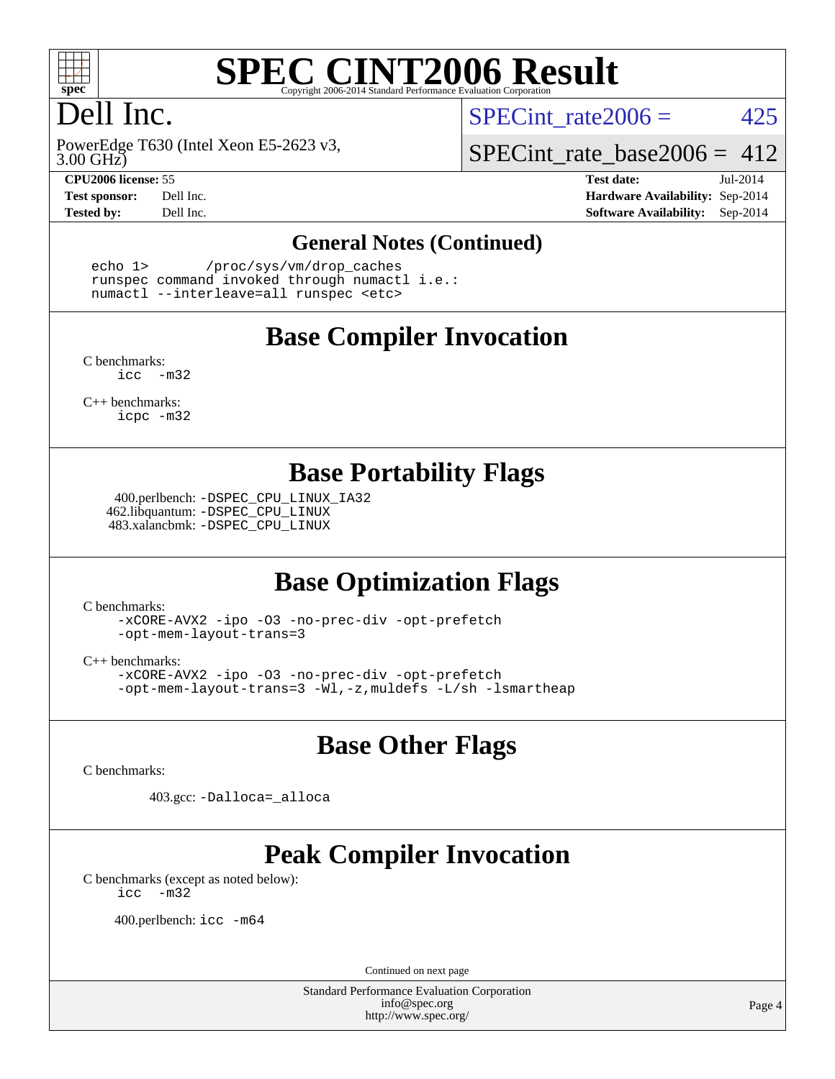

# **[SPEC CINT2006 Result](http://www.spec.org/auto/cpu2006/Docs/result-fields.html#SPECCINT2006Result)**

# Dell Inc.

3.00 GHz) PowerEdge T630 (Intel Xeon E5-2623 v3,

SPECint rate $2006 = 425$ 

[SPECint\\_rate\\_base2006 =](http://www.spec.org/auto/cpu2006/Docs/result-fields.html#SPECintratebase2006) 412

**[CPU2006 license:](http://www.spec.org/auto/cpu2006/Docs/result-fields.html#CPU2006license)** 55 **[Test date:](http://www.spec.org/auto/cpu2006/Docs/result-fields.html#Testdate)** Jul-2014 **[Test sponsor:](http://www.spec.org/auto/cpu2006/Docs/result-fields.html#Testsponsor)** Dell Inc. **[Hardware Availability:](http://www.spec.org/auto/cpu2006/Docs/result-fields.html#HardwareAvailability)** Sep-2014 **[Tested by:](http://www.spec.org/auto/cpu2006/Docs/result-fields.html#Testedby)** Dell Inc. **[Software Availability:](http://www.spec.org/auto/cpu2006/Docs/result-fields.html#SoftwareAvailability)** Sep-2014

#### **[General Notes \(Continued\)](http://www.spec.org/auto/cpu2006/Docs/result-fields.html#GeneralNotes)**

 echo 1> /proc/sys/vm/drop\_caches runspec command invoked through numactl i.e.: numactl --interleave=all runspec <etc>

#### **[Base Compiler Invocation](http://www.spec.org/auto/cpu2006/Docs/result-fields.html#BaseCompilerInvocation)**

[C benchmarks](http://www.spec.org/auto/cpu2006/Docs/result-fields.html#Cbenchmarks): [icc -m32](http://www.spec.org/cpu2006/results/res2014q3/cpu2006-20140909-31373.flags.html#user_CCbase_intel_icc_5ff4a39e364c98233615fdd38438c6f2)

[C++ benchmarks:](http://www.spec.org/auto/cpu2006/Docs/result-fields.html#CXXbenchmarks) [icpc -m32](http://www.spec.org/cpu2006/results/res2014q3/cpu2006-20140909-31373.flags.html#user_CXXbase_intel_icpc_4e5a5ef1a53fd332b3c49e69c3330699)

#### **[Base Portability Flags](http://www.spec.org/auto/cpu2006/Docs/result-fields.html#BasePortabilityFlags)**

 400.perlbench: [-DSPEC\\_CPU\\_LINUX\\_IA32](http://www.spec.org/cpu2006/results/res2014q3/cpu2006-20140909-31373.flags.html#b400.perlbench_baseCPORTABILITY_DSPEC_CPU_LINUX_IA32) 462.libquantum: [-DSPEC\\_CPU\\_LINUX](http://www.spec.org/cpu2006/results/res2014q3/cpu2006-20140909-31373.flags.html#b462.libquantum_baseCPORTABILITY_DSPEC_CPU_LINUX) 483.xalancbmk: [-DSPEC\\_CPU\\_LINUX](http://www.spec.org/cpu2006/results/res2014q3/cpu2006-20140909-31373.flags.html#b483.xalancbmk_baseCXXPORTABILITY_DSPEC_CPU_LINUX)

## **[Base Optimization Flags](http://www.spec.org/auto/cpu2006/Docs/result-fields.html#BaseOptimizationFlags)**

[C benchmarks](http://www.spec.org/auto/cpu2006/Docs/result-fields.html#Cbenchmarks):

[-xCORE-AVX2](http://www.spec.org/cpu2006/results/res2014q3/cpu2006-20140909-31373.flags.html#user_CCbase_f-xAVX2_5f5fc0cbe2c9f62c816d3e45806c70d7) [-ipo](http://www.spec.org/cpu2006/results/res2014q3/cpu2006-20140909-31373.flags.html#user_CCbase_f-ipo) [-O3](http://www.spec.org/cpu2006/results/res2014q3/cpu2006-20140909-31373.flags.html#user_CCbase_f-O3) [-no-prec-div](http://www.spec.org/cpu2006/results/res2014q3/cpu2006-20140909-31373.flags.html#user_CCbase_f-no-prec-div) [-opt-prefetch](http://www.spec.org/cpu2006/results/res2014q3/cpu2006-20140909-31373.flags.html#user_CCbase_f-opt-prefetch) [-opt-mem-layout-trans=3](http://www.spec.org/cpu2006/results/res2014q3/cpu2006-20140909-31373.flags.html#user_CCbase_f-opt-mem-layout-trans_a7b82ad4bd7abf52556d4961a2ae94d5)

[C++ benchmarks:](http://www.spec.org/auto/cpu2006/Docs/result-fields.html#CXXbenchmarks)

[-xCORE-AVX2](http://www.spec.org/cpu2006/results/res2014q3/cpu2006-20140909-31373.flags.html#user_CXXbase_f-xAVX2_5f5fc0cbe2c9f62c816d3e45806c70d7) [-ipo](http://www.spec.org/cpu2006/results/res2014q3/cpu2006-20140909-31373.flags.html#user_CXXbase_f-ipo) [-O3](http://www.spec.org/cpu2006/results/res2014q3/cpu2006-20140909-31373.flags.html#user_CXXbase_f-O3) [-no-prec-div](http://www.spec.org/cpu2006/results/res2014q3/cpu2006-20140909-31373.flags.html#user_CXXbase_f-no-prec-div) [-opt-prefetch](http://www.spec.org/cpu2006/results/res2014q3/cpu2006-20140909-31373.flags.html#user_CXXbase_f-opt-prefetch) [-opt-mem-layout-trans=3](http://www.spec.org/cpu2006/results/res2014q3/cpu2006-20140909-31373.flags.html#user_CXXbase_f-opt-mem-layout-trans_a7b82ad4bd7abf52556d4961a2ae94d5) [-Wl,-z,muldefs](http://www.spec.org/cpu2006/results/res2014q3/cpu2006-20140909-31373.flags.html#user_CXXbase_link_force_multiple1_74079c344b956b9658436fd1b6dd3a8a) [-L/sh -lsmartheap](http://www.spec.org/cpu2006/results/res2014q3/cpu2006-20140909-31373.flags.html#user_CXXbase_SmartHeap_32f6c82aa1ed9c52345d30cf6e4a0499)

## **[Base Other Flags](http://www.spec.org/auto/cpu2006/Docs/result-fields.html#BaseOtherFlags)**

[C benchmarks](http://www.spec.org/auto/cpu2006/Docs/result-fields.html#Cbenchmarks):

403.gcc: [-Dalloca=\\_alloca](http://www.spec.org/cpu2006/results/res2014q3/cpu2006-20140909-31373.flags.html#b403.gcc_baseEXTRA_CFLAGS_Dalloca_be3056838c12de2578596ca5467af7f3)

# **[Peak Compiler Invocation](http://www.spec.org/auto/cpu2006/Docs/result-fields.html#PeakCompilerInvocation)**

[C benchmarks \(except as noted below\)](http://www.spec.org/auto/cpu2006/Docs/result-fields.html#Cbenchmarksexceptasnotedbelow): [icc -m32](http://www.spec.org/cpu2006/results/res2014q3/cpu2006-20140909-31373.flags.html#user_CCpeak_intel_icc_5ff4a39e364c98233615fdd38438c6f2)

400.perlbench: [icc -m64](http://www.spec.org/cpu2006/results/res2014q3/cpu2006-20140909-31373.flags.html#user_peakCCLD400_perlbench_intel_icc_64bit_bda6cc9af1fdbb0edc3795bac97ada53)

Continued on next page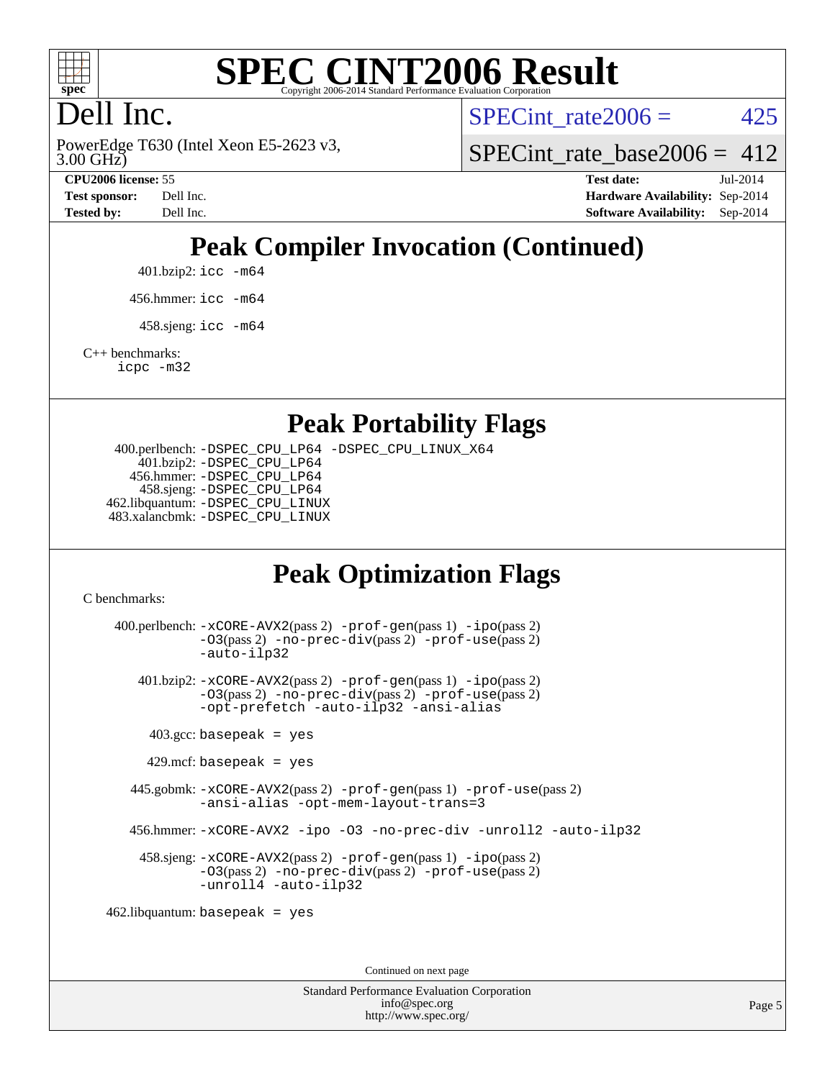

# **[SPEC CINT2006 Result](http://www.spec.org/auto/cpu2006/Docs/result-fields.html#SPECCINT2006Result)**

# Dell Inc.

3.00 GHz) PowerEdge T630 (Intel Xeon E5-2623 v3, SPECint rate $2006 = 425$ 

SPECint rate base2006 =  $412$ 

**[CPU2006 license:](http://www.spec.org/auto/cpu2006/Docs/result-fields.html#CPU2006license)** 55 **[Test date:](http://www.spec.org/auto/cpu2006/Docs/result-fields.html#Testdate)** Jul-2014 **[Test sponsor:](http://www.spec.org/auto/cpu2006/Docs/result-fields.html#Testsponsor)** Dell Inc. **[Hardware Availability:](http://www.spec.org/auto/cpu2006/Docs/result-fields.html#HardwareAvailability)** Sep-2014 **[Tested by:](http://www.spec.org/auto/cpu2006/Docs/result-fields.html#Testedby)** Dell Inc. **[Software Availability:](http://www.spec.org/auto/cpu2006/Docs/result-fields.html#SoftwareAvailability)** Sep-2014

# **[Peak Compiler Invocation \(Continued\)](http://www.spec.org/auto/cpu2006/Docs/result-fields.html#PeakCompilerInvocation)**

401.bzip2: [icc -m64](http://www.spec.org/cpu2006/results/res2014q3/cpu2006-20140909-31373.flags.html#user_peakCCLD401_bzip2_intel_icc_64bit_bda6cc9af1fdbb0edc3795bac97ada53)

456.hmmer: [icc -m64](http://www.spec.org/cpu2006/results/res2014q3/cpu2006-20140909-31373.flags.html#user_peakCCLD456_hmmer_intel_icc_64bit_bda6cc9af1fdbb0edc3795bac97ada53)

 $458 \text{.}$ sjeng: icc  $-\text{m64}$ 

[C++ benchmarks:](http://www.spec.org/auto/cpu2006/Docs/result-fields.html#CXXbenchmarks)

[icpc -m32](http://www.spec.org/cpu2006/results/res2014q3/cpu2006-20140909-31373.flags.html#user_CXXpeak_intel_icpc_4e5a5ef1a53fd332b3c49e69c3330699)

#### **[Peak Portability Flags](http://www.spec.org/auto/cpu2006/Docs/result-fields.html#PeakPortabilityFlags)**

 400.perlbench: [-DSPEC\\_CPU\\_LP64](http://www.spec.org/cpu2006/results/res2014q3/cpu2006-20140909-31373.flags.html#b400.perlbench_peakCPORTABILITY_DSPEC_CPU_LP64) [-DSPEC\\_CPU\\_LINUX\\_X64](http://www.spec.org/cpu2006/results/res2014q3/cpu2006-20140909-31373.flags.html#b400.perlbench_peakCPORTABILITY_DSPEC_CPU_LINUX_X64) 401.bzip2: [-DSPEC\\_CPU\\_LP64](http://www.spec.org/cpu2006/results/res2014q3/cpu2006-20140909-31373.flags.html#suite_peakCPORTABILITY401_bzip2_DSPEC_CPU_LP64) 456.hmmer: [-DSPEC\\_CPU\\_LP64](http://www.spec.org/cpu2006/results/res2014q3/cpu2006-20140909-31373.flags.html#suite_peakCPORTABILITY456_hmmer_DSPEC_CPU_LP64) 458.sjeng: [-DSPEC\\_CPU\\_LP64](http://www.spec.org/cpu2006/results/res2014q3/cpu2006-20140909-31373.flags.html#suite_peakCPORTABILITY458_sjeng_DSPEC_CPU_LP64) 462.libquantum: [-DSPEC\\_CPU\\_LINUX](http://www.spec.org/cpu2006/results/res2014q3/cpu2006-20140909-31373.flags.html#b462.libquantum_peakCPORTABILITY_DSPEC_CPU_LINUX) 483.xalancbmk: [-DSPEC\\_CPU\\_LINUX](http://www.spec.org/cpu2006/results/res2014q3/cpu2006-20140909-31373.flags.html#b483.xalancbmk_peakCXXPORTABILITY_DSPEC_CPU_LINUX)

## **[Peak Optimization Flags](http://www.spec.org/auto/cpu2006/Docs/result-fields.html#PeakOptimizationFlags)**

[C benchmarks](http://www.spec.org/auto/cpu2006/Docs/result-fields.html#Cbenchmarks):

 400.perlbench: [-xCORE-AVX2](http://www.spec.org/cpu2006/results/res2014q3/cpu2006-20140909-31373.flags.html#user_peakPASS2_CFLAGSPASS2_LDCFLAGS400_perlbench_f-xAVX2_5f5fc0cbe2c9f62c816d3e45806c70d7)(pass 2) [-prof-gen](http://www.spec.org/cpu2006/results/res2014q3/cpu2006-20140909-31373.flags.html#user_peakPASS1_CFLAGSPASS1_LDCFLAGS400_perlbench_prof_gen_e43856698f6ca7b7e442dfd80e94a8fc)(pass 1) [-ipo](http://www.spec.org/cpu2006/results/res2014q3/cpu2006-20140909-31373.flags.html#user_peakPASS2_CFLAGSPASS2_LDCFLAGS400_perlbench_f-ipo)(pass 2) [-O3](http://www.spec.org/cpu2006/results/res2014q3/cpu2006-20140909-31373.flags.html#user_peakPASS2_CFLAGSPASS2_LDCFLAGS400_perlbench_f-O3)(pass 2) [-no-prec-div](http://www.spec.org/cpu2006/results/res2014q3/cpu2006-20140909-31373.flags.html#user_peakPASS2_CFLAGSPASS2_LDCFLAGS400_perlbench_f-no-prec-div)(pass 2) [-prof-use](http://www.spec.org/cpu2006/results/res2014q3/cpu2006-20140909-31373.flags.html#user_peakPASS2_CFLAGSPASS2_LDCFLAGS400_perlbench_prof_use_bccf7792157ff70d64e32fe3e1250b55)(pass 2) [-auto-ilp32](http://www.spec.org/cpu2006/results/res2014q3/cpu2006-20140909-31373.flags.html#user_peakCOPTIMIZE400_perlbench_f-auto-ilp32) 401.bzip2: [-xCORE-AVX2](http://www.spec.org/cpu2006/results/res2014q3/cpu2006-20140909-31373.flags.html#user_peakPASS2_CFLAGSPASS2_LDCFLAGS401_bzip2_f-xAVX2_5f5fc0cbe2c9f62c816d3e45806c70d7)(pass 2) [-prof-gen](http://www.spec.org/cpu2006/results/res2014q3/cpu2006-20140909-31373.flags.html#user_peakPASS1_CFLAGSPASS1_LDCFLAGS401_bzip2_prof_gen_e43856698f6ca7b7e442dfd80e94a8fc)(pass 1) [-ipo](http://www.spec.org/cpu2006/results/res2014q3/cpu2006-20140909-31373.flags.html#user_peakPASS2_CFLAGSPASS2_LDCFLAGS401_bzip2_f-ipo)(pass 2) [-O3](http://www.spec.org/cpu2006/results/res2014q3/cpu2006-20140909-31373.flags.html#user_peakPASS2_CFLAGSPASS2_LDCFLAGS401_bzip2_f-O3)(pass 2) [-no-prec-div](http://www.spec.org/cpu2006/results/res2014q3/cpu2006-20140909-31373.flags.html#user_peakPASS2_CFLAGSPASS2_LDCFLAGS401_bzip2_f-no-prec-div)(pass 2) [-prof-use](http://www.spec.org/cpu2006/results/res2014q3/cpu2006-20140909-31373.flags.html#user_peakPASS2_CFLAGSPASS2_LDCFLAGS401_bzip2_prof_use_bccf7792157ff70d64e32fe3e1250b55)(pass 2) [-opt-prefetch](http://www.spec.org/cpu2006/results/res2014q3/cpu2006-20140909-31373.flags.html#user_peakCOPTIMIZE401_bzip2_f-opt-prefetch) [-auto-ilp32](http://www.spec.org/cpu2006/results/res2014q3/cpu2006-20140909-31373.flags.html#user_peakCOPTIMIZE401_bzip2_f-auto-ilp32) [-ansi-alias](http://www.spec.org/cpu2006/results/res2014q3/cpu2006-20140909-31373.flags.html#user_peakCOPTIMIZE401_bzip2_f-ansi-alias)  $403.\text{gcc: basepeak}$  = yes  $429$ .mcf: basepeak = yes 445.gobmk: [-xCORE-AVX2](http://www.spec.org/cpu2006/results/res2014q3/cpu2006-20140909-31373.flags.html#user_peakPASS2_CFLAGSPASS2_LDCFLAGS445_gobmk_f-xAVX2_5f5fc0cbe2c9f62c816d3e45806c70d7)(pass 2) [-prof-gen](http://www.spec.org/cpu2006/results/res2014q3/cpu2006-20140909-31373.flags.html#user_peakPASS1_CFLAGSPASS1_LDCFLAGS445_gobmk_prof_gen_e43856698f6ca7b7e442dfd80e94a8fc)(pass 1) [-prof-use](http://www.spec.org/cpu2006/results/res2014q3/cpu2006-20140909-31373.flags.html#user_peakPASS2_CFLAGSPASS2_LDCFLAGS445_gobmk_prof_use_bccf7792157ff70d64e32fe3e1250b55)(pass 2) [-ansi-alias](http://www.spec.org/cpu2006/results/res2014q3/cpu2006-20140909-31373.flags.html#user_peakCOPTIMIZE445_gobmk_f-ansi-alias) [-opt-mem-layout-trans=3](http://www.spec.org/cpu2006/results/res2014q3/cpu2006-20140909-31373.flags.html#user_peakCOPTIMIZE445_gobmk_f-opt-mem-layout-trans_a7b82ad4bd7abf52556d4961a2ae94d5) 456.hmmer: [-xCORE-AVX2](http://www.spec.org/cpu2006/results/res2014q3/cpu2006-20140909-31373.flags.html#user_peakCOPTIMIZE456_hmmer_f-xAVX2_5f5fc0cbe2c9f62c816d3e45806c70d7) [-ipo](http://www.spec.org/cpu2006/results/res2014q3/cpu2006-20140909-31373.flags.html#user_peakCOPTIMIZE456_hmmer_f-ipo) [-O3](http://www.spec.org/cpu2006/results/res2014q3/cpu2006-20140909-31373.flags.html#user_peakCOPTIMIZE456_hmmer_f-O3) [-no-prec-div](http://www.spec.org/cpu2006/results/res2014q3/cpu2006-20140909-31373.flags.html#user_peakCOPTIMIZE456_hmmer_f-no-prec-div) [-unroll2](http://www.spec.org/cpu2006/results/res2014q3/cpu2006-20140909-31373.flags.html#user_peakCOPTIMIZE456_hmmer_f-unroll_784dae83bebfb236979b41d2422d7ec2) [-auto-ilp32](http://www.spec.org/cpu2006/results/res2014q3/cpu2006-20140909-31373.flags.html#user_peakCOPTIMIZE456_hmmer_f-auto-ilp32) 458.sjeng: [-xCORE-AVX2](http://www.spec.org/cpu2006/results/res2014q3/cpu2006-20140909-31373.flags.html#user_peakPASS2_CFLAGSPASS2_LDCFLAGS458_sjeng_f-xAVX2_5f5fc0cbe2c9f62c816d3e45806c70d7)(pass 2) [-prof-gen](http://www.spec.org/cpu2006/results/res2014q3/cpu2006-20140909-31373.flags.html#user_peakPASS1_CFLAGSPASS1_LDCFLAGS458_sjeng_prof_gen_e43856698f6ca7b7e442dfd80e94a8fc)(pass 1) [-ipo](http://www.spec.org/cpu2006/results/res2014q3/cpu2006-20140909-31373.flags.html#user_peakPASS2_CFLAGSPASS2_LDCFLAGS458_sjeng_f-ipo)(pass 2) [-O3](http://www.spec.org/cpu2006/results/res2014q3/cpu2006-20140909-31373.flags.html#user_peakPASS2_CFLAGSPASS2_LDCFLAGS458_sjeng_f-O3)(pass 2) [-no-prec-div](http://www.spec.org/cpu2006/results/res2014q3/cpu2006-20140909-31373.flags.html#user_peakPASS2_CFLAGSPASS2_LDCFLAGS458_sjeng_f-no-prec-div)(pass 2) [-prof-use](http://www.spec.org/cpu2006/results/res2014q3/cpu2006-20140909-31373.flags.html#user_peakPASS2_CFLAGSPASS2_LDCFLAGS458_sjeng_prof_use_bccf7792157ff70d64e32fe3e1250b55)(pass 2) [-unroll4](http://www.spec.org/cpu2006/results/res2014q3/cpu2006-20140909-31373.flags.html#user_peakCOPTIMIZE458_sjeng_f-unroll_4e5e4ed65b7fd20bdcd365bec371b81f) [-auto-ilp32](http://www.spec.org/cpu2006/results/res2014q3/cpu2006-20140909-31373.flags.html#user_peakCOPTIMIZE458_sjeng_f-auto-ilp32) 462.libquantum: basepeak = yes

Continued on next page